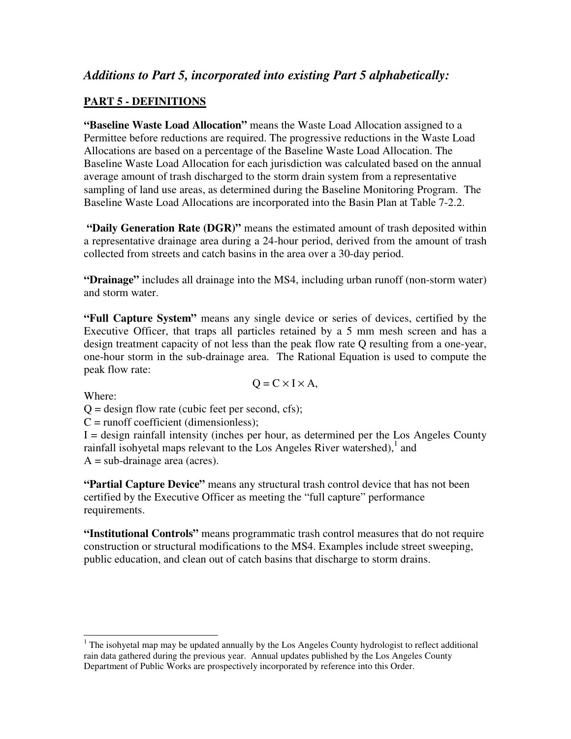# *Additions to Part 5, incorporated into existing Part 5 alphabetically:*

## **PART 5 - DEFINITIONS**

**"Baseline Waste Load Allocation"** means the Waste Load Allocation assigned to a Permittee before reductions are required. The progressive reductions in the Waste Load Allocations are based on a percentage of the Baseline Waste Load Allocation. The Baseline Waste Load Allocation for each jurisdiction was calculated based on the annual average amount of trash discharged to the storm drain system from a representative sampling of land use areas, as determined during the Baseline Monitoring Program. The Baseline Waste Load Allocations are incorporated into the Basin Plan at Table 7-2.2.

 **"Daily Generation Rate (DGR)"** means the estimated amount of trash deposited within a representative drainage area during a 24-hour period, derived from the amount of trash collected from streets and catch basins in the area over a 30-day period.

**"Drainage"** includes all drainage into the MS4, including urban runoff (non-storm water) and storm water.

**"Full Capture System"** means any single device or series of devices, certified by the Executive Officer, that traps all particles retained by a 5 mm mesh screen and has a design treatment capacity of not less than the peak flow rate Q resulting from a one-year, one-hour storm in the sub-drainage area. The Rational Equation is used to compute the peak flow rate:

Where:

 $Q = C \times I \times A$ ,

 $Q =$  design flow rate (cubic feet per second, cfs);

 $C =$  runoff coefficient (dimensionless);

 $I =$  design rainfall intensity (inches per hour, as determined per the Los Angeles County rainfall isohyetal maps relevant to the Los Angeles River watershed), $<sup>1</sup>$  and</sup>  $A = sub-drainage area (acres).$ 

**"Partial Capture Device"** means any structural trash control device that has not been certified by the Executive Officer as meeting the "full capture" performance requirements.

**"Institutional Controls"** means programmatic trash control measures that do not require construction or structural modifications to the MS4. Examples include street sweeping, public education, and clean out of catch basins that discharge to storm drains.

<sup>&</sup>lt;sup>1</sup> The isohyetal map may be updated annually by the Los Angeles County hydrologist to reflect additional rain data gathered during the previous year. Annual updates published by the Los Angeles County Department of Public Works are prospectively incorporated by reference into this Order.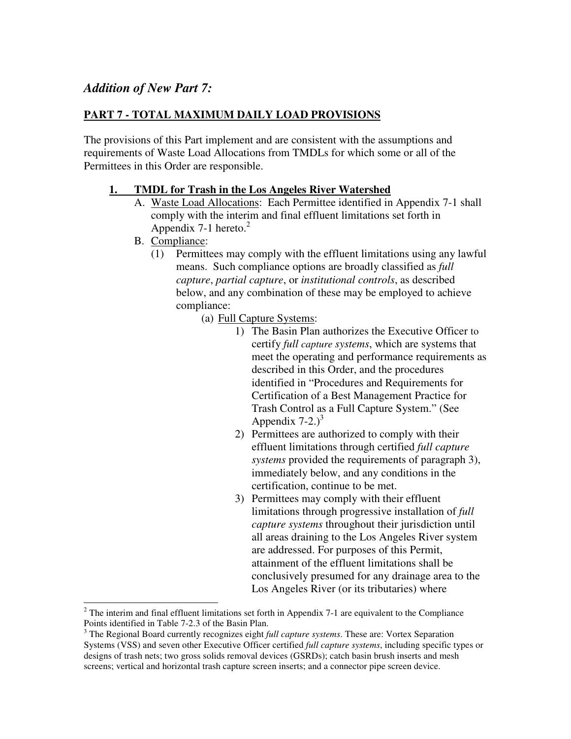# *Addition of New Part 7:*

## **PART 7 - TOTAL MAXIMUM DAILY LOAD PROVISIONS**

The provisions of this Part implement and are consistent with the assumptions and requirements of Waste Load Allocations from TMDLs for which some or all of the Permittees in this Order are responsible.

### **1. TMDL for Trash in the Los Angeles River Watershed**

- A. Waste Load Allocations: Each Permittee identified in Appendix 7-1 shall comply with the interim and final effluent limitations set forth in Appendix 7-1 hereto. $2$
- B. Compliance:
	- (1) Permittees may comply with the effluent limitations using any lawful means. Such compliance options are broadly classified as *full capture*, *partial capture*, or *institutional controls*, as described below, and any combination of these may be employed to achieve compliance:
		- (a) Full Capture Systems:
			- 1) The Basin Plan authorizes the Executive Officer to certify *full capture systems*, which are systems that meet the operating and performance requirements as described in this Order, and the procedures identified in "Procedures and Requirements for Certification of a Best Management Practice for Trash Control as a Full Capture System." (See Appendix  $7-2.3$ <sup>3</sup>
			- 2) Permittees are authorized to comply with their effluent limitations through certified *full capture systems* provided the requirements of paragraph 3), immediately below, and any conditions in the certification, continue to be met.
			- 3) Permittees may comply with their effluent limitations through progressive installation of *full capture systems* throughout their jurisdiction until all areas draining to the Los Angeles River system are addressed. For purposes of this Permit, attainment of the effluent limitations shall be conclusively presumed for any drainage area to the Los Angeles River (or its tributaries) where

<sup>&</sup>lt;sup>2</sup> The interim and final effluent limitations set forth in Appendix 7-1 are equivalent to the Compliance Points identified in Table 7-2.3 of the Basin Plan.

<sup>&</sup>lt;sup>3</sup> The Regional Board currently recognizes eight *full capture systems*. These are: Vortex Separation Systems (VSS) and seven other Executive Officer certified *full capture systems*, including specific types or designs of trash nets; two gross solids removal devices (GSRDs); catch basin brush inserts and mesh screens; vertical and horizontal trash capture screen inserts; and a connector pipe screen device.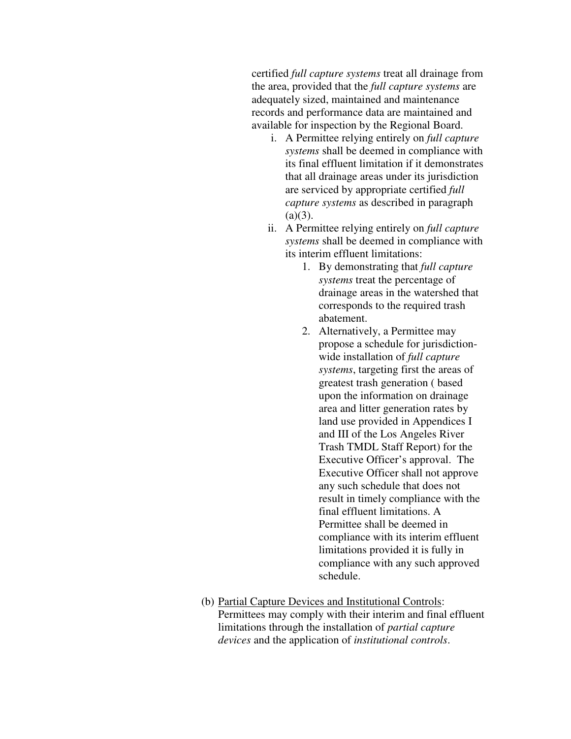certified *full capture systems* treat all drainage from the area, provided that the *full capture systems* are adequately sized, maintained and maintenance records and performance data are maintained and available for inspection by the Regional Board.

- i. A Permittee relying entirely on *full capture systems* shall be deemed in compliance with its final effluent limitation if it demonstrates that all drainage areas under its jurisdiction are serviced by appropriate certified *full capture systems* as described in paragraph  $(a)(3)$ .
- ii. A Permittee relying entirely on *full capture systems* shall be deemed in compliance with its interim effluent limitations:
	- 1. By demonstrating that *full capture systems* treat the percentage of drainage areas in the watershed that corresponds to the required trash abatement.
	- 2. Alternatively, a Permittee may propose a schedule for jurisdictionwide installation of *full capture systems*, targeting first the areas of greatest trash generation ( based upon the information on drainage area and litter generation rates by land use provided in Appendices I and III of the Los Angeles River Trash TMDL Staff Report) for the Executive Officer's approval. The Executive Officer shall not approve any such schedule that does not result in timely compliance with the final effluent limitations. A Permittee shall be deemed in compliance with its interim effluent limitations provided it is fully in compliance with any such approved schedule.
- (b) Partial Capture Devices and Institutional Controls: Permittees may comply with their interim and final effluent limitations through the installation of *partial capture devices* and the application of *institutional controls*.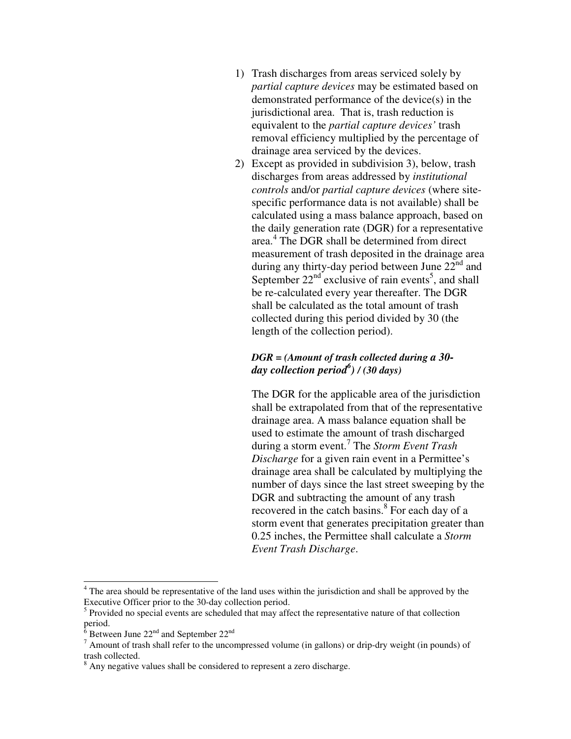- 1) Trash discharges from areas serviced solely by *partial capture devices* may be estimated based on demonstrated performance of the device(s) in the jurisdictional area. That is, trash reduction is equivalent to the *partial capture devices'* trash removal efficiency multiplied by the percentage of drainage area serviced by the devices.
- 2) Except as provided in subdivision 3), below, trash discharges from areas addressed by *institutional controls* and/or *partial capture devices* (where sitespecific performance data is not available) shall be calculated using a mass balance approach, based on the daily generation rate (DGR) for a representative area. 4 The DGR shall be determined from direct measurement of trash deposited in the drainage area during any thirty-day period between June  $22<sup>nd</sup>$  and September  $22<sup>nd</sup>$  exclusive of rain events<sup>5</sup>, and shall be re-calculated every year thereafter. The DGR shall be calculated as the total amount of trash collected during this period divided by 30 (the length of the collection period).

### *DGR = (Amount of trash collected during a 30 day collection period<sup>6</sup> ) / (30 days)*

The DGR for the applicable area of the jurisdiction shall be extrapolated from that of the representative drainage area. A mass balance equation shall be used to estimate the amount of trash discharged during a storm event.<sup>7</sup> The *Storm Event Trash Discharge* for a given rain event in a Permittee's drainage area shall be calculated by multiplying the number of days since the last street sweeping by the DGR and subtracting the amount of any trash recovered in the catch basins.<sup>8</sup> For each day of a storm event that generates precipitation greater than 0.25 inches, the Permittee shall calculate a *Storm Event Trash Discharge*.

<sup>&</sup>lt;sup>4</sup> The area should be representative of the land uses within the jurisdiction and shall be approved by the Executive Officer prior to the 30-day collection period.

<sup>&</sup>lt;sup>5</sup> Provided no special events are scheduled that may affect the representative nature of that collection period.

 $6$  Between June 22<sup>nd</sup> and September 22<sup>nd</sup>

 $<sup>7</sup>$  Amount of trash shall refer to the uncompressed volume (in gallons) or drip-dry weight (in pounds) of</sup> trash collected.

<sup>&</sup>lt;sup>8</sup> Any negative values shall be considered to represent a zero discharge.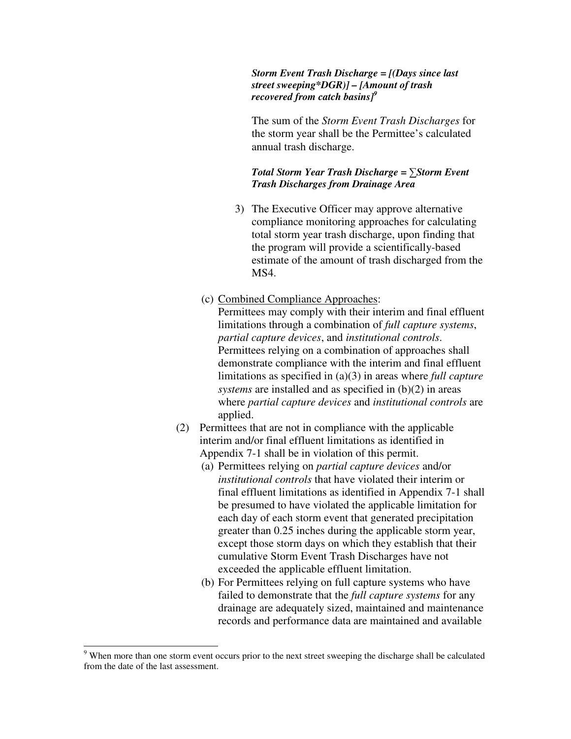#### *Storm Event Trash Discharge = [(Days since last street sweeping\*DGR)] – [Amount of trash recovered from catch basins]<sup>9</sup>*

The sum of the *Storm Event Trash Discharges* for the storm year shall be the Permittee's calculated annual trash discharge.

#### *Total Storm Year Trash Discharge =* ∑*Storm Event Trash Discharges from Drainage Area*

- 3) The Executive Officer may approve alternative compliance monitoring approaches for calculating total storm year trash discharge, upon finding that the program will provide a scientifically-based estimate of the amount of trash discharged from the MS4.
- (c) Combined Compliance Approaches:

Permittees may comply with their interim and final effluent limitations through a combination of *full capture systems*, *partial capture devices*, and *institutional controls*. Permittees relying on a combination of approaches shall demonstrate compliance with the interim and final effluent limitations as specified in (a)(3) in areas where *full capture systems* are installed and as specified in (b)(2) in areas where *partial capture devices* and *institutional controls* are applied.

- (2) Permittees that are not in compliance with the applicable interim and/or final effluent limitations as identified in Appendix 7-1 shall be in violation of this permit.
	- (a) Permittees relying on *partial capture devices* and/or *institutional controls* that have violated their interim or final effluent limitations as identified in Appendix 7-1 shall be presumed to have violated the applicable limitation for each day of each storm event that generated precipitation greater than 0.25 inches during the applicable storm year, except those storm days on which they establish that their cumulative Storm Event Trash Discharges have not exceeded the applicable effluent limitation.
	- (b) For Permittees relying on full capture systems who have failed to demonstrate that the *full capture systems* for any drainage are adequately sized, maintained and maintenance records and performance data are maintained and available

<sup>&</sup>lt;sup>9</sup> When more than one storm event occurs prior to the next street sweeping the discharge shall be calculated from the date of the last assessment.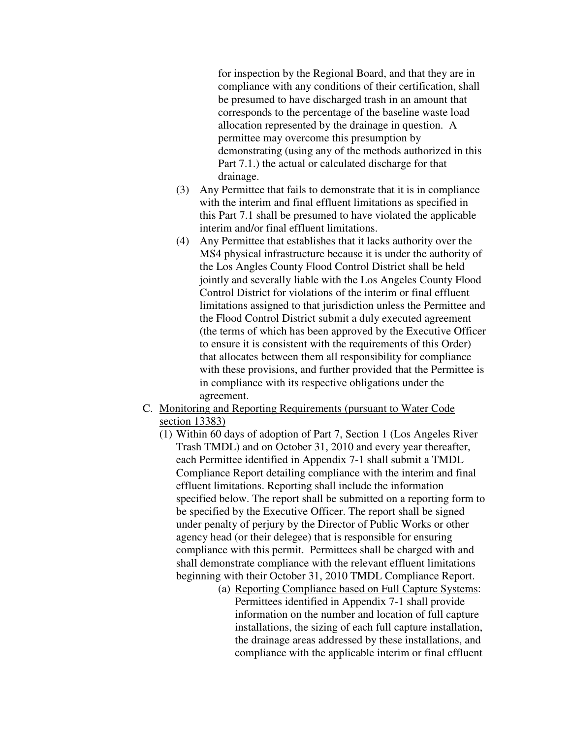for inspection by the Regional Board, and that they are in compliance with any conditions of their certification, shall be presumed to have discharged trash in an amount that corresponds to the percentage of the baseline waste load allocation represented by the drainage in question. A permittee may overcome this presumption by demonstrating (using any of the methods authorized in this Part 7.1.) the actual or calculated discharge for that drainage.

- (3) Any Permittee that fails to demonstrate that it is in compliance with the interim and final effluent limitations as specified in this Part 7.1 shall be presumed to have violated the applicable interim and/or final effluent limitations.
- (4) Any Permittee that establishes that it lacks authority over the MS4 physical infrastructure because it is under the authority of the Los Angles County Flood Control District shall be held jointly and severally liable with the Los Angeles County Flood Control District for violations of the interim or final effluent limitations assigned to that jurisdiction unless the Permittee and the Flood Control District submit a duly executed agreement (the terms of which has been approved by the Executive Officer to ensure it is consistent with the requirements of this Order) that allocates between them all responsibility for compliance with these provisions, and further provided that the Permittee is in compliance with its respective obligations under the agreement.
- C. Monitoring and Reporting Requirements (pursuant to Water Code section 13383)
	- (1) Within 60 days of adoption of Part 7, Section 1 (Los Angeles River Trash TMDL) and on October 31, 2010 and every year thereafter, each Permittee identified in Appendix 7-1 shall submit a TMDL Compliance Report detailing compliance with the interim and final effluent limitations. Reporting shall include the information specified below. The report shall be submitted on a reporting form to be specified by the Executive Officer. The report shall be signed under penalty of perjury by the Director of Public Works or other agency head (or their delegee) that is responsible for ensuring compliance with this permit. Permittees shall be charged with and shall demonstrate compliance with the relevant effluent limitations beginning with their October 31, 2010 TMDL Compliance Report.
		- (a) Reporting Compliance based on Full Capture Systems: Permittees identified in Appendix 7-1 shall provide information on the number and location of full capture installations, the sizing of each full capture installation, the drainage areas addressed by these installations, and compliance with the applicable interim or final effluent